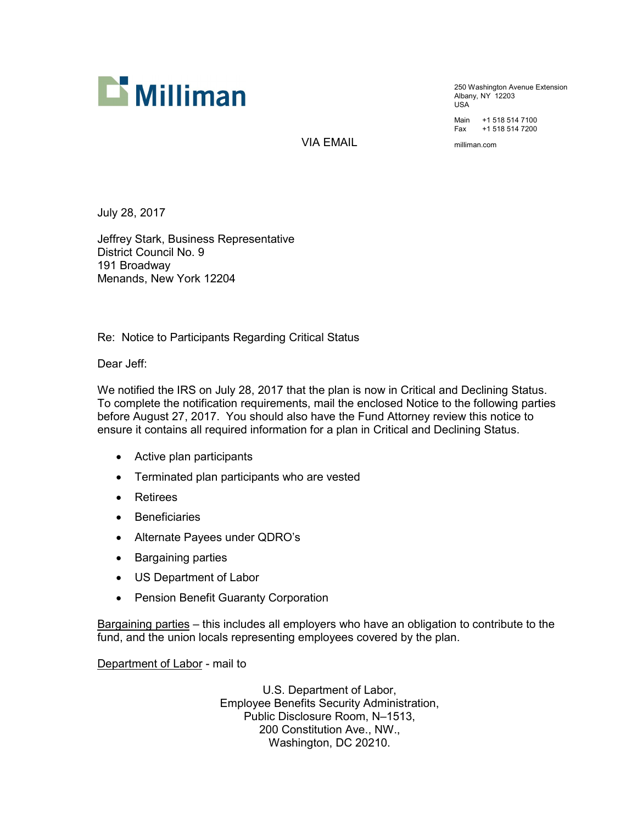

250 Washington Avenue Extension Albany, NY 12203 USA

Main +1 518 514 7100 Fax +1 518 514 7200

VIA EMAIL milliman.com

July 28, 2017

Jeffrey Stark, Business Representative District Council No. 9 191 Broadway Menands, New York 12204

Re: Notice to Participants Regarding Critical Status

Dear Jeff:

We notified the IRS on July 28, 2017 that the plan is now in Critical and Declining Status. To complete the notification requirements, mail the enclosed Notice to the following parties before August 27, 2017. You should also have the Fund Attorney review this notice to ensure it contains all required information for a plan in Critical and Declining Status.

- · Active plan participants
- · Terminated plan participants who are vested
- **Retirees**
- · Beneficiaries
- · Alternate Payees under QDRO's
- · Bargaining parties
- · US Department of Labor
- · Pension Benefit Guaranty Corporation

Bargaining parties – this includes all employers who have an obligation to contribute to the fund, and the union locals representing employees covered by the plan.

Department of Labor - mail to

U.S. Department of Labor, Employee Benefits Security Administration, Public Disclosure Room, N–1513, 200 Constitution Ave., NW., Washington, DC 20210.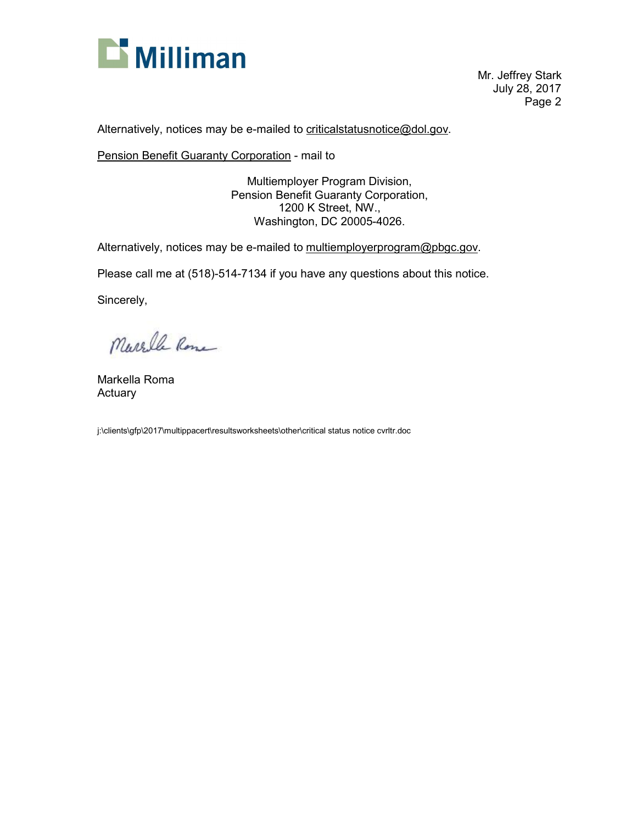

Mr. Jeffrey Stark July 28, 2017 Page 2

Alternatively, notices may be e-mailed to [criticalstatusnotice@dol.gov.](mailto:criticalstatusnotice@dol.gov)

Pension Benefit Guaranty Corporation - mail to

Multiemployer Program Division, Pension Benefit Guaranty Corporation, 1200 K Street, NW., Washington, DC 20005-4026.

Alternatively, notices may be e-mailed to [multiemployerprogram@pbgc.gov](mailto:multiemployerprogram@pbgc.gov).

Please call me at (518)-514-7134 if you have any questions about this notice.

Sincerely,

Marche Rome

Markella Roma Actuary

j:\clients\gfp\2017\multippacert\resultsworksheets\other\critical status notice cvrltr.doc